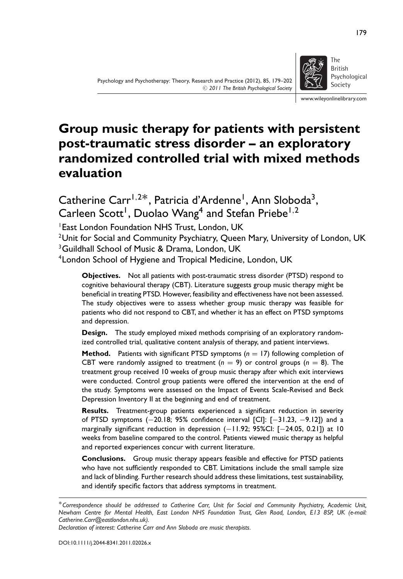

The British Psychological Society

www.wileyonlinelibrary.com

# **Group music therapy for patients with persistent post-traumatic stress disorder – an exploratory randomized controlled trial with mixed methods evaluation**

Catherine Carr<sup>1,2\*</sup>, Patricia d'Ardenne<sup>1</sup>, Ann Sloboda<sup>3</sup>, Carleen Scott<sup>1</sup>, Duolao Wang<sup>4</sup> and Stefan Priebe<sup>1,2</sup>

1East London Foundation NHS Trust, London, UK

<sup>2</sup>Unit for Social and Community Psychiatry, Queen Mary, University of London, UK

<sup>3</sup>Guildhall School of Music & Drama, London, UK

4London School of Hygiene and Tropical Medicine, London, UK

**Objectives.** Not all patients with post-traumatic stress disorder (PTSD) respond to cognitive behavioural therapy (CBT). Literature suggests group music therapy might be beneficial in treating PTSD. However, feasibility and effectiveness have not been assessed. The study objectives were to assess whether group music therapy was feasible for patients who did not respond to CBT, and whether it has an effect on PTSD symptoms and depression.

**Design.** The study employed mixed methods comprising of an exploratory randomized controlled trial, qualitative content analysis of therapy, and patient interviews.

**Method.** Patients with significant PTSD symptoms (*n* = 17) following completion of CBT were randomly assigned to treatment  $(n = 9)$  or control groups  $(n = 8)$ . The treatment group received 10 weeks of group music therapy after which exit interviews were conducted. Control group patients were offered the intervention at the end of the study. Symptoms were assessed on the Impact of Events Scale-Revised and Beck Depression Inventory II at the beginning and end of treatment.

**Results.** Treatment-group patients experienced a significant reduction in severity of PTSD symptoms (−20.18; 95% confidence interval [CI]: [−31.23, −9.12]) and a marginally significant reduction in depression (-11.92; 95%CI: [-24.05, 0.21]) at 10 weeks from baseline compared to the control. Patients viewed music therapy as helpful and reported experiences concur with current literature.

**Conclusions.** Group music therapy appears feasible and effective for PTSD patients who have not sufficiently responded to CBT. Limitations include the small sample size and lack of blinding. Further research should address these limitations, test sustainability, and identify specific factors that address symptoms in treatment.

*Declaration of interest: Catherine Carr and Ann Sloboda are music therapists.*

<sup>∗</sup>*Correspondence should be addressed to Catherine Carr, Unit for Social and Community Psychiatry, Academic Unit, Newham Centre for Mental Health, East London NHS Foundation Trust, Glen Road, London, E13 8SP, UK (e-mail: Catherine.Carr@eastlondon.nhs.uk).*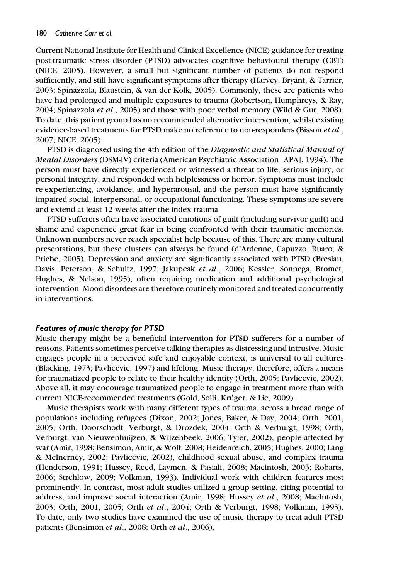Current National Institute for Health and Clinical Excellence (NICE) guidance for treating post-traumatic stress disorder (PTSD) advocates cognitive behavioural therapy (CBT) (NICE, 2005). However, a small but significant number of patients do not respond sufficiently, and still have significant symptoms after therapy (Harvey, Bryant, & Tarrier, 2003; Spinazzola, Blaustein, & van der Kolk, 2005). Commonly, these are patients who have had prolonged and multiple exposures to trauma (Robertson, Humphreys, & Ray, 2004; Spinazzola *et al*., 2005) and those with poor verbal memory (Wild & Gur, 2008). To date, this patient group has no recommended alternative intervention, whilst existing evidence-based treatments for PTSD make no reference to non-responders (Bisson *et al*., 2007; NICE, 2005).

PTSD is diagnosed using the 4th edition of the *Diagnostic and Statistical Manual of Mental Disorders* (DSM-IV) criteria (American Psychiatric Association [APA], 1994). The person must have directly experienced or witnessed a threat to life, serious injury, or personal integrity, and responded with helplessness or horror. Symptoms must include re-experiencing, avoidance, and hyperarousal, and the person must have significantly impaired social, interpersonal, or occupational functioning. These symptoms are severe and extend at least 12 weeks after the index trauma.

PTSD sufferers often have associated emotions of guilt (including survivor guilt) and shame and experience great fear in being confronted with their traumatic memories. Unknown numbers never reach specialist help because of this. There are many cultural presentations, but these clusters can always be found (d'Ardenne, Capuzzo, Ruaro, & Priebe, 2005). Depression and anxiety are significantly associated with PTSD (Breslau, Davis, Peterson, & Schultz, 1997; Jakupcak *et al*., 2006; Kessler, Sonnega, Bromet, Hughes, & Nelson, 1995), often requiring medication and additional psychological intervention. Mood disorders are therefore routinely monitored and treated concurrently in interventions.

## *Features of music therapy for PTSD*

Music therapy might be a beneficial intervention for PTSD sufferers for a number of reasons. Patients sometimes perceive talking therapies as distressing and intrusive. Music engages people in a perceived safe and enjoyable context, is universal to all cultures (Blacking, 1973; Pavlicevic, 1997) and lifelong. Music therapy, therefore, offers a means for traumatized people to relate to their healthy identity (Orth, 2005; Pavlicevic, 2002). Above all, it may encourage traumatized people to engage in treatment more than with current NICE-recommended treatments (Gold, Solli, Krüger, & Lie, 2009).

Music therapists work with many different types of trauma, across a broad range of populations including refugees (Dixon, 2002; Jones, Baker, & Day, 2004; Orth, 2001, 2005; Orth, Doorschodt, Verburgt, & Drozdek, 2004; Orth & Verburgt, 1998; Orth, Verburgt, van Nieuwenhuijzen, & Wijzenbeek, 2006; Tyler, 2002), people affected by war (Amir, 1998; Bensimon, Amir, & Wolf, 2008; Heidenreich, 2005; Hughes, 2000; Lang & McInerney, 2002; Pavlicevic, 2002), childhood sexual abuse, and complex trauma (Henderson, 1991; Hussey, Reed, Laymen, & Pasiali, 2008; Macintosh, 2003; Robarts, 2006; Strehlow, 2009; Volkman, 1993). Individual work with children features most prominently. In contrast, most adult studies utilized a group setting, citing potential to address, and improve social interaction (Amir, 1998; Hussey *et al*., 2008; MacIntosh, 2003; Orth, 2001, 2005; Orth *et al*., 2004; Orth & Verburgt, 1998; Volkman, 1993). To date, only two studies have examined the use of music therapy to treat adult PTSD patients (Bensimon *et al*., 2008; Orth *et al*., 2006).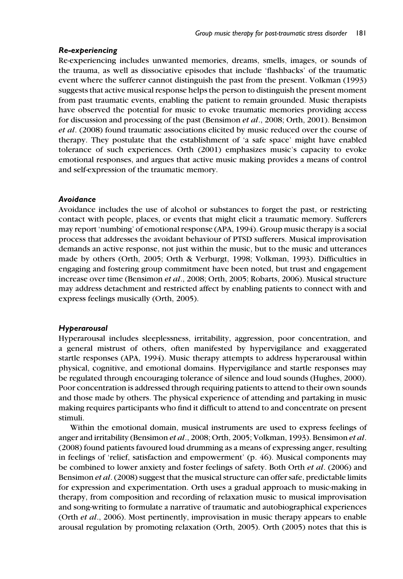#### *Re-experiencing*

Re-experiencing includes unwanted memories, dreams, smells, images, or sounds of the trauma, as well as dissociative episodes that include 'flashbacks' of the traumatic event where the sufferer cannot distinguish the past from the present. Volkman (1993) suggests that active musical response helps the person to distinguish the present moment from past traumatic events, enabling the patient to remain grounded. Music therapists have observed the potential for music to evoke traumatic memories providing access for discussion and processing of the past (Bensimon *et al*., 2008; Orth, 2001). Bensimon *et al*. (2008) found traumatic associations elicited by music reduced over the course of therapy. They postulate that the establishment of 'a safe space' might have enabled tolerance of such experiences. Orth (2001) emphasizes music's capacity to evoke emotional responses, and argues that active music making provides a means of control and self-expression of the traumatic memory.

## *Avoidance*

Avoidance includes the use of alcohol or substances to forget the past, or restricting contact with people, places, or events that might elicit a traumatic memory. Sufferers may report 'numbing' of emotional response (APA, 1994). Group music therapy is a social process that addresses the avoidant behaviour of PTSD sufferers. Musical improvisation demands an active response, not just within the music, but to the music and utterances made by others (Orth, 2005; Orth & Verburgt, 1998; Volkman, 1993). Difficulties in engaging and fostering group commitment have been noted, but trust and engagement increase over time (Bensimon *et al*., 2008; Orth, 2005; Robarts, 2006). Musical structure may address detachment and restricted affect by enabling patients to connect with and express feelings musically (Orth, 2005).

#### *Hyperarousal*

Hyperarousal includes sleeplessness, irritability, aggression, poor concentration, and a general mistrust of others, often manifested by hypervigilance and exaggerated startle responses (APA, 1994). Music therapy attempts to address hyperarousal within physical, cognitive, and emotional domains. Hypervigilance and startle responses may be regulated through encouraging tolerance of silence and loud sounds (Hughes, 2000). Poor concentration is addressed through requiring patients to attend to their own sounds and those made by others. The physical experience of attending and partaking in music making requires participants who find it difficult to attend to and concentrate on present stimuli.

Within the emotional domain, musical instruments are used to express feelings of anger and irritability (Bensimon *et al*., 2008; Orth, 2005; Volkman, 1993). Bensimon *et al*. (2008) found patients favoured loud drumming as a means of expressing anger, resulting in feelings of 'relief, satisfaction and empowerment' (p. 46). Musical components may be combined to lower anxiety and foster feelings of safety. Both Orth *et al*. (2006) and Bensimon *et al*. (2008) suggest that the musical structure can offer safe, predictable limits for expression and experimentation. Orth uses a gradual approach to music-making in therapy, from composition and recording of relaxation music to musical improvisation and song-writing to formulate a narrative of traumatic and autobiographical experiences (Orth *et al*., 2006). Most pertinently, improvisation in music therapy appears to enable arousal regulation by promoting relaxation (Orth, 2005). Orth (2005) notes that this is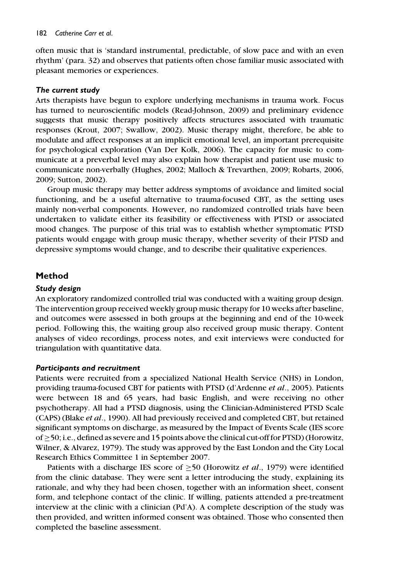often music that is 'standard instrumental, predictable, of slow pace and with an even rhythm' (para. 32) and observes that patients often chose familiar music associated with pleasant memories or experiences.

# *The current study*

Arts therapists have begun to explore underlying mechanisms in trauma work. Focus has turned to neuroscientific models (Read-Johnson, 2009) and preliminary evidence suggests that music therapy positively affects structures associated with traumatic responses (Krout, 2007; Swallow, 2002). Music therapy might, therefore, be able to modulate and affect responses at an implicit emotional level, an important prerequisite for psychological exploration (Van Der Kolk, 2006). The capacity for music to communicate at a preverbal level may also explain how therapist and patient use music to communicate non-verbally (Hughes, 2002; Malloch & Trevarthen, 2009; Robarts, 2006, 2009; Sutton, 2002).

Group music therapy may better address symptoms of avoidance and limited social functioning, and be a useful alternative to trauma-focused CBT, as the setting uses mainly non-verbal components. However, no randomized controlled trials have been undertaken to validate either its feasibility or effectiveness with PTSD or associated mood changes. The purpose of this trial was to establish whether symptomatic PTSD patients would engage with group music therapy, whether severity of their PTSD and depressive symptoms would change, and to describe their qualitative experiences.

# **Method**

# *Study design*

An exploratory randomized controlled trial was conducted with a waiting group design. The intervention group received weekly group music therapy for 10 weeks after baseline, and outcomes were assessed in both groups at the beginning and end of the 10-week period. Following this, the waiting group also received group music therapy. Content analyses of video recordings, process notes, and exit interviews were conducted for triangulation with quantitative data.

# *Participants and recruitment*

Patients were recruited from a specialized National Health Service (NHS) in London, providing trauma-focused CBT for patients with PTSD (d'Ardenne *et al*., 2005). Patients were between 18 and 65 years, had basic English, and were receiving no other psychotherapy. All had a PTSD diagnosis, using the Clinician-Administered PTSD Scale (CAPS) (Blake *et al*., 1990). All had previously received and completed CBT, but retained significant symptoms on discharge, as measured by the Impact of Events Scale (IES score of ≥50; i.e., defined as severe and 15 points above the clinical cut-off for PTSD) (Horowitz, Wilner, & Alvarez, 1979). The study was approved by the East London and the City Local Research Ethics Committee 1 in September 2007.

Patients with a discharge IES score of ≥50 (Horowitz *et al*., 1979) were identified from the clinic database. They were sent a letter introducing the study, explaining its rationale, and why they had been chosen, together with an information sheet, consent form, and telephone contact of the clinic. If willing, patients attended a pre-treatment interview at the clinic with a clinician (Pd'A). A complete description of the study was then provided, and written informed consent was obtained. Those who consented then completed the baseline assessment.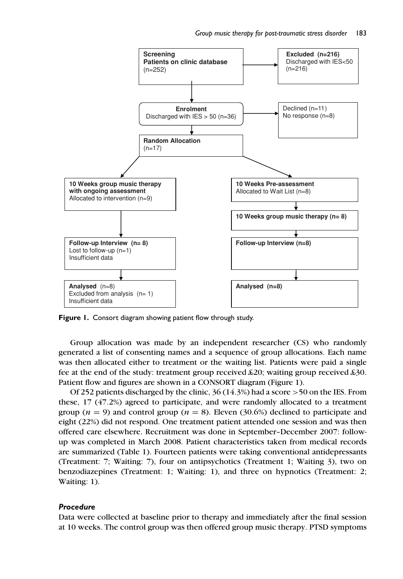

**Figure 1.** Consort diagram showing patient flow through study.

Group allocation was made by an independent researcher (CS) who randomly generated a list of consenting names and a sequence of group allocations. Each name was then allocated either to treatment or the waiting list. Patients were paid a single fee at the end of the study: treatment group received £20; waiting group received £30. Patient flow and figures are shown in a CONSORT diagram (Figure 1).

Of 252 patients discharged by the clinic, 36 (14.3%) had a score >50 on the IES. From these, 17 (47.2%) agreed to participate, and were randomly allocated to a treatment group ( $n = 9$ ) and control group ( $n = 8$ ). Eleven (30.6%) declined to participate and eight (22%) did not respond. One treatment patient attended one session and was then offered care elsewhere. Recruitment was done in September–December 2007: followup was completed in March 2008. Patient characteristics taken from medical records are summarized (Table 1). Fourteen patients were taking conventional antidepressants (Treatment: 7; Waiting: 7), four on antipsychotics (Treatment 1; Waiting 3), two on benzodiazepines (Treatment: 1; Waiting: 1), and three on hypnotics (Treatment: 2; Waiting: 1).

#### *Procedure*

Data were collected at baseline prior to therapy and immediately after the final session at 10 weeks. The control group was then offered group music therapy. PTSD symptoms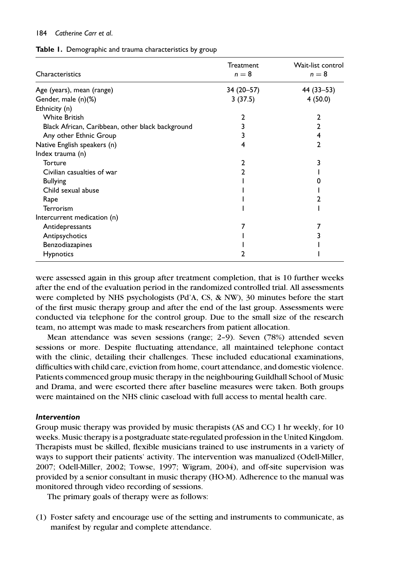#### 184 *Catherine Carr et al*.

**Table 1.** Demographic and trauma characteristics by group

| Characteristics                                  | <b>Treatment</b><br>$n = 8$ | Wait-list control<br>$n = 8$ |
|--------------------------------------------------|-----------------------------|------------------------------|
| Age (years), mean (range)                        | 34 (20 - 57)                | 44 (33–53)                   |
| Gender, male (n)(%)                              | 3(37.5)                     | 4(50.0)                      |
| Ethnicity (n)                                    |                             |                              |
| <b>White British</b>                             |                             |                              |
| Black African, Caribbean, other black background |                             | 2                            |
| Any other Ethnic Group                           |                             | 4                            |
| Native English speakers (n)                      | 4                           | 2                            |
| Index trauma (n)                                 |                             |                              |
| Torture                                          | 2                           | 3                            |
| Civilian casualties of war                       |                             |                              |
| <b>Bullying</b>                                  |                             |                              |
| Child sexual abuse                               |                             |                              |
| Rape                                             |                             |                              |
| Terrorism                                        |                             |                              |
| Intercurrent medication (n)                      |                             |                              |
| Antidepressants                                  |                             |                              |
| Antipsychotics                                   |                             |                              |
| Benzodiazapines                                  |                             |                              |
| <b>Hypnotics</b>                                 |                             |                              |

were assessed again in this group after treatment completion, that is 10 further weeks after the end of the evaluation period in the randomized controlled trial. All assessments were completed by NHS psychologists (Pd'A, CS, & NW), 30 minutes before the start of the first music therapy group and after the end of the last group. Assessments were conducted via telephone for the control group. Due to the small size of the research team, no attempt was made to mask researchers from patient allocation.

Mean attendance was seven sessions (range; 2–9). Seven (78%) attended seven sessions or more. Despite fluctuating attendance, all maintained telephone contact with the clinic, detailing their challenges. These included educational examinations, difficulties with child care, eviction from home, court attendance, and domestic violence. Patients commenced group music therapy in the neighbouring Guildhall School of Music and Drama, and were escorted there after baseline measures were taken. Both groups were maintained on the NHS clinic caseload with full access to mental health care.

## *Intervention*

Group music therapy was provided by music therapists (AS and CC) 1 hr weekly, for 10 weeks. Music therapy is a postgraduate state-regulated profession in the United Kingdom. Therapists must be skilled, flexible musicians trained to use instruments in a variety of ways to support their patients' activity. The intervention was manualized (Odell-Miller, 2007; Odell-Miller, 2002; Towse, 1997; Wigram, 2004), and off-site supervision was provided by a senior consultant in music therapy (HO-M). Adherence to the manual was monitored through video recording of sessions.

The primary goals of therapy were as follows:

(1) Foster safety and encourage use of the setting and instruments to communicate, as manifest by regular and complete attendance.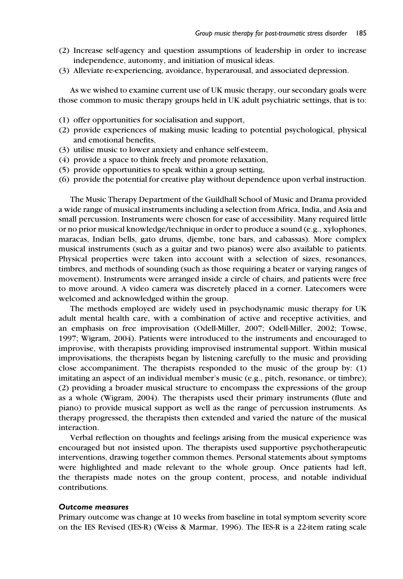- (2) Increase self-agency and question assumptions of leadership in order to increase independence, autonomy, and initiation of musical ideas.
- (3) Alleviate re-experiencing, avoidance, hyperarousal, and associated depression.

As we wished to examine current use of UK music therapy, our secondary goals were those common to music therapy groups held in UK adult psychiatric settings, that is to:

- (1) offer opportunities for socialisation and support,
- (2) provide experiences of making music leading to potential psychological, physical and emotional benefits,
- (3) utilise music to lower anxiety and enhance self-esteem,
- (4) provide a space to think freely and promote relaxation,
- (5) provide opportunities to speak within a group setting,
- (6) provide the potential for creative play without dependence upon verbal instruction.

The Music Therapy Department of the Guildhall School of Music and Drama provided a wide range of musical instruments including a selection from Africa, India, and Asia and small percussion. Instruments were chosen for ease of accessibility. Many required little or no prior musical knowledge/technique in order to produce a sound (e.g., xylophones, maracas, Indian bells, gato drums, djembe, tone bars, and cabassas). More complex musical instruments (such as a guitar and two pianos) were also available to patients. Physical properties were taken into account with a selection of sizes, resonances, timbres, and methods of sounding (such as those requiring a beater or varying ranges of movement). Instruments were arranged inside a circle of chairs, and patients were free to move around. A video camera was discretely placed in a corner. Latecomers were welcomed and acknowledged within the group.

The methods employed are widely used in psychodynamic music therapy for UK adult mental health care, with a combination of active and receptive activities, and an emphasis on free improvisation (Odell-Miller, 2007; Odell-Miller, 2002; Towse, 1997; Wigram, 2004). Patients were introduced to the instruments and encouraged to improvise, with therapists providing improvised instrumental support. Within musical improvisations, the therapists began by listening carefully to the music and providing close accompaniment. The therapists responded to the music of the group by: (1) imitating an aspect of an individual member's music (e.g., pitch, resonance, or timbre); (2) providing a broader musical structure to encompass the expressions of the group as a whole (Wigram, 2004). The therapists used their primary instruments (flute and piano) to provide musical support as well as the range of percussion instruments. As therapy progressed, the therapists then extended and varied the nature of the musical interaction.

Verbal reflection on thoughts and feelings arising from the musical experience was encouraged but not insisted upon. The therapists used supportive psychotherapeutic interventions, drawing together common themes. Personal statements about symptoms were highlighted and made relevant to the whole group. Once patients had left, the therapists made notes on the group content, process, and notable individual contributions.

#### *Outcome measures*

Primary outcome was change at 10 weeks from baseline in total symptom severity score on the IES Revised (IES-R) (Weiss & Marmar, 1996). The IES-R is a 22-item rating scale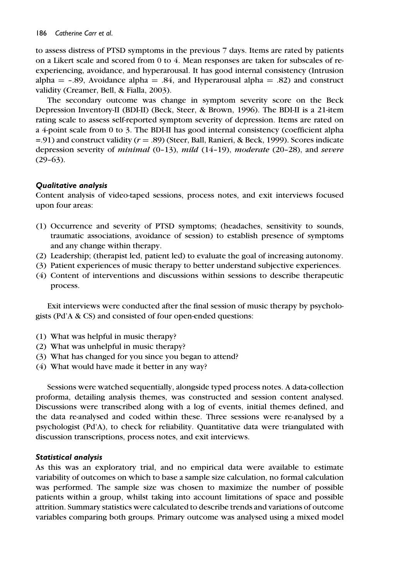to assess distress of PTSD symptoms in the previous 7 days. Items are rated by patients on a Likert scale and scored from 0 to 4. Mean responses are taken for subscales of reexperiencing, avoidance, and hyperarousal. It has good internal consistency (Intrusion alpha =  $-.89$ , Avoidance alpha =  $.84$ , and Hyperarousal alpha =  $.82$ ) and construct validity (Creamer, Bell, & Fialla, 2003).

The secondary outcome was change in symptom severity score on the Beck Depression Inventory-II (BDI-II) (Beck, Steer, & Brown, 1996). The BDI-II is a 21-item rating scale to assess self-reported symptom severity of depression. Items are rated on a 4-point scale from 0 to 3. The BDI-II has good internal consistency (coefficient alpha =.91) and construct validity (*r* = .89) (Steer, Ball, Ranieri, & Beck, 1999). Scores indicate depression severity of *minimal* (0–13), *mild* (14–19), *moderate* (20–28), and *severe*  $(29-63)$ .

# *Qualitative analysis*

Content analysis of video-taped sessions, process notes, and exit interviews focused upon four areas:

- (1) Occurrence and severity of PTSD symptoms; (headaches, sensitivity to sounds, traumatic associations, avoidance of session) to establish presence of symptoms and any change within therapy.
- (2) Leadership; (therapist led, patient led) to evaluate the goal of increasing autonomy.
- (3) Patient experiences of music therapy to better understand subjective experiences.
- (4) Content of interventions and discussions within sessions to describe therapeutic process.

Exit interviews were conducted after the final session of music therapy by psychologists (Pd'A & CS) and consisted of four open-ended questions:

- (1) What was helpful in music therapy?
- (2) What was unhelpful in music therapy?
- (3) What has changed for you since you began to attend?
- (4) What would have made it better in any way?

Sessions were watched sequentially, alongside typed process notes. A data-collection proforma, detailing analysis themes, was constructed and session content analysed. Discussions were transcribed along with a log of events, initial themes defined, and the data re-analysed and coded within these. Three sessions were re-analysed by a psychologist (Pd'A), to check for reliability. Quantitative data were triangulated with discussion transcriptions, process notes, and exit interviews.

# *Statistical analysis*

As this was an exploratory trial, and no empirical data were available to estimate variability of outcomes on which to base a sample size calculation, no formal calculation was performed. The sample size was chosen to maximize the number of possible patients within a group, whilst taking into account limitations of space and possible attrition. Summary statistics were calculated to describe trends and variations of outcome variables comparing both groups. Primary outcome was analysed using a mixed model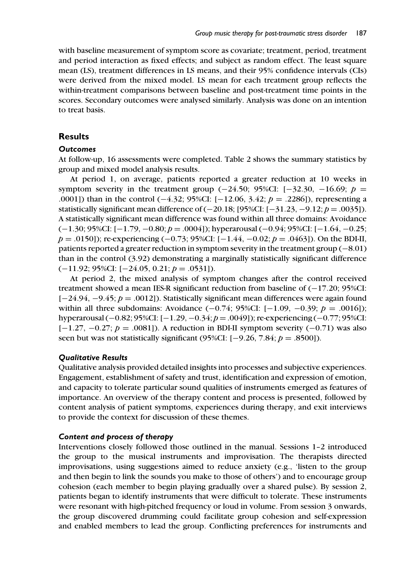with baseline measurement of symptom score as covariate; treatment, period, treatment and period interaction as fixed effects; and subject as random effect. The least square mean (LS), treatment differences in LS means, and their 95% confidence intervals (CIs) were derived from the mixed model. LS mean for each treatment group reflects the within-treatment comparisons between baseline and post-treatment time points in the scores. Secondary outcomes were analysed similarly. Analysis was done on an intention to treat basis.

# **Results**

### *Outcomes*

At follow-up, 16 assessments were completed. Table 2 shows the summary statistics by group and mixed model analysis results.

At period 1, on average, patients reported a greater reduction at 10 weeks in symptom severity in the treatment group  $(-24.50; 95\%$ CI:  $[-32.30, -16.69; p]$ .0001]) than in the control (−4.32; 95%CI: [−12.06, 3.42; *p* = .2286]), representing a statistically significant mean difference of (−20.18; [95%CI: [−31.23, −9.12; *p* = .0035]). A statistically significant mean difference was found within all three domains: Avoidance (−1.30; 95%CI: [−1.79, −0.80; *p* = .0004]); hyperarousal (−0.94; 95%CI: [−1.64, −0.25; *p* = .0150]); re-experiencing (−0.73; 95%CI: [−1.44, −0.02; *p* = .0463]). On the BDI-II, patients reported a greater reduction in symptom severity in the treatment group (−8.01) than in the control (3.92) demonstrating a marginally statistically significant difference (−11.92; 95%CI: [−24.05, 0.21; *p* = .0531]).

At period 2, the mixed analysis of symptom changes after the control received treatment showed a mean IES-R significant reduction from baseline of (−17.20; 95%CI: [−24.94, −9.45; *p* = .0012]). Statistically significant mean differences were again found within all three subdomains: Avoidance (−0.74; 95%CI: [−1.09, −0.39; *p* = .0016]); hyperarousal (−0.82; 95%CI: [−1.29, −0.34; *p* = .0049]); re-experiencing (−0.77; 95%CI: [−1.27, −0.27; *p* = .0081]). A reduction in BDI-II symptom severity (−0.71) was also seen but was not statistically significant (95%CI: [−9.26, 7.84; *p* = .8500]).

## *Qualitative Results*

Qualitative analysis provided detailed insights into processes and subjective experiences. Engagement, establishment of safety and trust, identification and expression of emotion, and capacity to tolerate particular sound qualities of instruments emerged as features of importance. An overview of the therapy content and process is presented, followed by content analysis of patient symptoms, experiences during therapy, and exit interviews to provide the context for discussion of these themes.

## *Content and process of therapy*

Interventions closely followed those outlined in the manual. Sessions 1–2 introduced the group to the musical instruments and improvisation. The therapists directed improvisations, using suggestions aimed to reduce anxiety (e.g., 'listen to the group and then begin to link the sounds you make to those of others') and to encourage group cohesion (each member to begin playing gradually over a shared pulse). By session 2, patients began to identify instruments that were difficult to tolerate. These instruments were resonant with high-pitched frequency or loud in volume. From session 3 onwards, the group discovered drumming could facilitate group cohesion and self-expression and enabled members to lead the group. Conflicting preferences for instruments and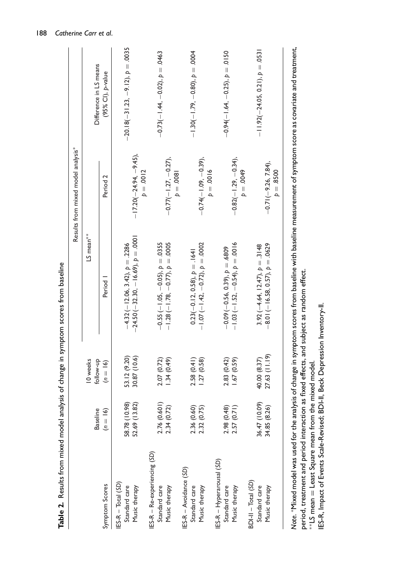|                                                                |                                        |                               |                                                                                                                                                                                                                               | Results from mixed model analysis*                   |                                       |
|----------------------------------------------------------------|----------------------------------------|-------------------------------|-------------------------------------------------------------------------------------------------------------------------------------------------------------------------------------------------------------------------------|------------------------------------------------------|---------------------------------------|
|                                                                | <b>Baseline</b>                        | follow-up<br><b>10</b> weeks  | LS mean <sup>**</sup>                                                                                                                                                                                                         |                                                      | Difference in LS means                |
| Symptom Scores                                                 | $\hat{e}$<br>$=$ a)                    | $(n = 16)$                    | Period I                                                                                                                                                                                                                      | Period 2                                             | (95% CI), p-value                     |
| IES-R - Total (SD)<br>Standard care<br>Music therapy           | 58.78 (10.98)<br>52.69 (13.82)         | 53.12 (9.20)<br>30.87 (10.6)  | $-24.50(-32.30, -16.69), p = .000$<br>$-4.32$ ( $-12.06$ , 3.42), $p = .2286$                                                                                                                                                 | $-17.20(-24.94, -9.45),$<br>$p = .0012$              | $-20.18(-31.23, -9.12)$ , $p = .0035$ |
| IES-R - Re-experiencing (SD)<br>Music therapy<br>Standard care | 2.76 (0.601)<br>2.34 (0.72)            | 2.07 (0.72)<br>1.34(0.49)     | $-0.55(-1.05, -0.05)$ , $p = .0355$<br>$-1.28(-1.78, -0.77), p = 0.005$                                                                                                                                                       | $-0.77(-1.27, -0.27),$<br>$p = 0.081$                | $-0.73(-1.44, -0.02), p = .0463$      |
| IES-R - Avoidance (SD)<br>Standard care<br>Music therapy       | 2.32 (0.75)<br>$\ddot{60}$<br>2.36 (0. | 2.58(0.41)<br>1.27(0.58)      | $-1.07(-1.42, -0.72), p = -0.002$<br>$0.23(-0.12, 0.58), p = .1641$                                                                                                                                                           | $-0.74(-1.09,-0.39)$<br>$p = .0016$                  | $-1.30(-1.79, 0.80)$ , $p = 0.0004$   |
| IES-R - Hyperarousal (SD)<br>Music therapy<br>Standard care    | 2.98 (0.48)<br>2.57(0.71)              | 2.83 (0.42)<br>1.67(0.59)     | $-1.03(-1.52, -0.54), p = .0016$<br>$-0.09(-0.56, 0.39), p = .6809$                                                                                                                                                           | $-0.82(-1.29, -0.34),$                               | $-0.94(-1.64, -0.25), p = .0150$      |
| BDI-II - Total (SD)<br>Standard care<br>Music therapy          | 36.47 (10.09)<br>34.85 (8.26)          | 27.63 (11.19)<br>40.00 (8.37) | $-8.01(-16.58, 0.57), p = .0629$<br>$3.92(-4.64, 12.47), p = .3148$                                                                                                                                                           | $-0.71(-9.26, 7.84),$<br>$p = 0.0049$<br>$p = .8500$ | $-11.92(-24.05, 0.21), p = .0531$     |
|                                                                |                                        |                               | where the structure of the structure of the structure comes from the line which has line moment conservations concerned that the moment of the moment and transmoon that the structure of the structure of the structure of t |                                                      |                                       |

Note. \*Mixed model was used for the analysis of change in symptom scores from baseline with baseline measurement of symptom score as covariate and treatment, *Note*. ∗Mixed model was used for the analysis of change in symptom scores from baseline with baseline measurement of symptom score as covariate and treatment, period, treatment and period interaction as fixed effects, and subject as random effect. period, treatment and period interaction as fixed effects, and subject as random effect.

\*\*LS mean = Least Square mean from the mixed model. ∗∗LS mean = Least Square mean from the mixed model.

IES-R, Impact of Events Scale-Revised; BDI-II, Beck Depression Inventory-II. IES-R, Impact of Events Scale-Revised; BDI-II, Beck Depression Inventory-II.

**Table 2.** Results from mixed model analysis of change in symptom scores from baseline

Table 2. Results from mixed model analysis of change in symptom scores from baseline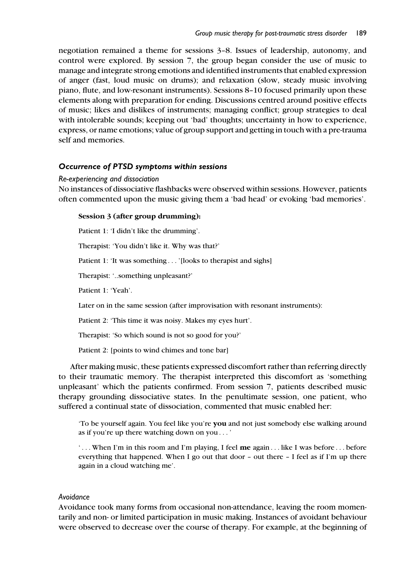negotiation remained a theme for sessions 3–8. Issues of leadership, autonomy, and control were explored. By session 7, the group began consider the use of music to manage and integrate strong emotions and identified instruments that enabled expression of anger (fast, loud music on drums); and relaxation (slow, steady music involving piano, flute, and low-resonant instruments). Sessions 8–10 focused primarily upon these elements along with preparation for ending. Discussions centred around positive effects of music; likes and dislikes of instruments; managing conflict; group strategies to deal with intolerable sounds; keeping out 'bad' thoughts; uncertainty in how to experience, express, or name emotions; value of group support and getting in touch with a pre-trauma self and memories.

# *Occurrence of PTSD symptoms within sessions*

#### *Re-experiencing and dissociation*

No instances of dissociative flashbacks were observed within sessions. However, patients often commented upon the music giving them a 'bad head' or evoking 'bad memories'.

#### **Session 3 (after group drumming):**

Patient 1: 'I didn't like the drumming'.

Therapist: 'You didn't like it. Why was that?'

Patient 1: 'It was something . . . '[looks to therapist and sighs]

Therapist: '..something unpleasant?'

Patient 1: 'Yeah'.

Later on in the same session (after improvisation with resonant instruments):

Patient 2: 'This time it was noisy. Makes my eyes hurt'.

Therapist: 'So which sound is not so good for you?'

Patient 2: [points to wind chimes and tone bar]

After making music, these patients expressed discomfort rather than referring directly to their traumatic memory. The therapist interpreted this discomfort as 'something unpleasant' which the patients confirmed. From session 7, patients described music therapy grounding dissociative states. In the penultimate session, one patient, who suffered a continual state of dissociation, commented that music enabled her:

'To be yourself again. You feel like you're **you** and not just somebody else walking around as if you're up there watching down on you . . . '

' . . . When I'm in this room and I'm playing, I feel **me** again . . . like I was before . . . before everything that happened. When I go out that door – out there – I feel as if I'm up there again in a cloud watching me'.

## *Avoidance*

Avoidance took many forms from occasional non-attendance, leaving the room momentarily and non- or limited participation in music making. Instances of avoidant behaviour were observed to decrease over the course of therapy. For example, at the beginning of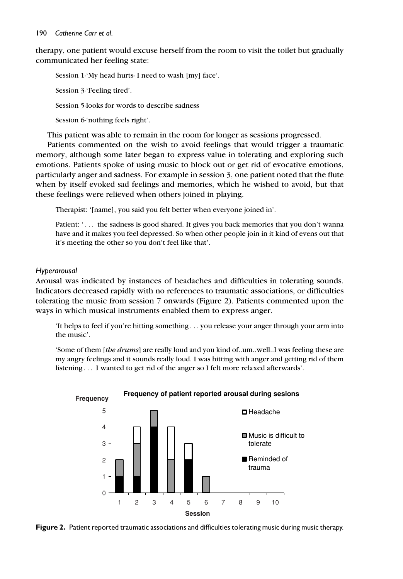#### 190 *Catherine Carr et al*.

therapy, one patient would excuse herself from the room to visit the toilet but gradually communicated her feeling state:

Session 1-'My head hurts- I need to wash [my] face'.

Session 3-'Feeling tired'.

Session 5-looks for words to describe sadness

Session 6-'nothing feels right'.

This patient was able to remain in the room for longer as sessions progressed.

Patients commented on the wish to avoid feelings that would trigger a traumatic memory, although some later began to express value in tolerating and exploring such emotions. Patients spoke of using music to block out or get rid of evocative emotions, particularly anger and sadness. For example in session 3, one patient noted that the flute when by itself evoked sad feelings and memories, which he wished to avoid, but that these feelings were relieved when others joined in playing.

Therapist: '[name], you said you felt better when everyone joined in'.

Patient: '... the sadness is good shared. It gives you back memories that you don't wanna have and it makes you feel depressed. So when other people join in it kind of evens out that it's meeting the other so you don't feel like that'.

# *Hyperarousal*

Arousal was indicated by instances of headaches and difficulties in tolerating sounds. Indicators decreased rapidly with no references to traumatic associations, or difficulties tolerating the music from session 7 onwards (Figure 2). Patients commented upon the ways in which musical instruments enabled them to express anger.

'It helps to feel if you're hitting something . . . you release your anger through your arm into the music'.

'Some of them [*the drums*] are really loud and you kind of..um..well..I was feeling these are my angry feelings and it sounds really loud. I was hitting with anger and getting rid of them listening . . . I wanted to get rid of the anger so I felt more relaxed afterwards'.



**Figure 2.** Patient reported traumatic associations and difficulties tolerating music during music therapy.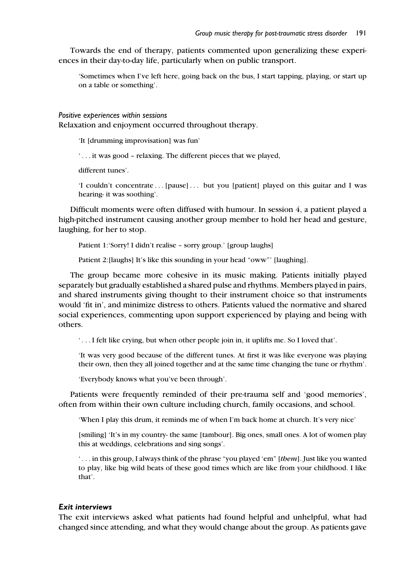Towards the end of therapy, patients commented upon generalizing these experiences in their day-to-day life, particularly when on public transport.

'Sometimes when I've left here, going back on the bus, I start tapping, playing, or start up on a table or something'.

#### *Positive experiences within sessions*

Relaxation and enjoyment occurred throughout therapy.

'It [drumming improvisation] was fun'

' . . . it was good – relaxing. The different pieces that we played,

different tunes'.

'I couldn't concentrate . . . [pause] . . . but you [patient] played on this guitar and I was hearing- it was soothing'.

Difficult moments were often diffused with humour. In session 4, a patient played a high-pitched instrument causing another group member to hold her head and gesture, laughing, for her to stop.

Patient 1:'Sorry! I didn't realise – sorry group.' [group laughs]

Patient 2:[laughs] It's like this sounding in your head "oww"' [laughing].

The group became more cohesive in its music making. Patients initially played separately but gradually established a shared pulse and rhythms. Members played in pairs, and shared instruments giving thought to their instrument choice so that instruments would 'fit in', and minimize distress to others. Patients valued the normative and shared social experiences, commenting upon support experienced by playing and being with others.

' . . . I felt like crying, but when other people join in, it uplifts me. So I loved that'.

'It was very good because of the different tunes. At first it was like everyone was playing their own, then they all joined together and at the same time changing the tune or rhythm'.

'Everybody knows what you've been through'.

Patients were frequently reminded of their pre-trauma self and 'good memories', often from within their own culture including church, family occasions, and school.

'When I play this drum, it reminds me of when I'm back home at church. It's very nice'

[smiling] 'It's in my country- the same [tambour]. Big ones, small ones. A lot of women play this at weddings, celebrations and sing songs'.

' . . . in this group, I always think of the phrase "you played 'em" [*them*]. Just like you wanted to play, like big wild beats of these good times which are like from your childhood. I like that'.

## *Exit interviews*

The exit interviews asked what patients had found helpful and unhelpful, what had changed since attending, and what they would change about the group. As patients gave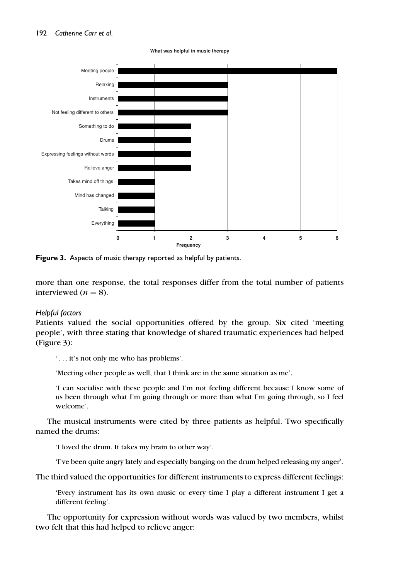

**What was helpful in music therapy**

Figure 3. Aspects of music therapy reported as helpful by patients.

more than one response, the total responses differ from the total number of patients interviewed ( $n = 8$ ).

## *Helpful factors*

Patients valued the social opportunities offered by the group. Six cited 'meeting people', with three stating that knowledge of shared traumatic experiences had helped (Figure 3):

' . . . it's not only me who has problems'.

'Meeting other people as well, that I think are in the same situation as me'.

'I can socialise with these people and I'm not feeling different because I know some of us been through what I'm going through or more than what I'm going through, so I feel welcome'.

The musical instruments were cited by three patients as helpful. Two specifically named the drums:

'I loved the drum. It takes my brain to other way'.

'I've been quite angry lately and especially banging on the drum helped releasing my anger'.

The third valued the opportunities for different instruments to express different feelings:

'Every instrument has its own music or every time I play a different instrument I get a different feeling'.

The opportunity for expression without words was valued by two members, whilst two felt that this had helped to relieve anger: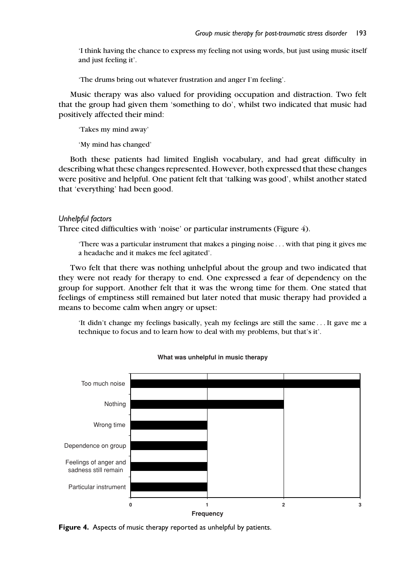'I think having the chance to express my feeling not using words, but just using music itself and just feeling it'.

'The drums bring out whatever frustration and anger I'm feeling'.

Music therapy was also valued for providing occupation and distraction. Two felt that the group had given them 'something to do', whilst two indicated that music had positively affected their mind:

'Takes my mind away'

'My mind has changed'

Both these patients had limited English vocabulary, and had great difficulty in describing what these changes represented. However, both expressed that these changes were positive and helpful. One patient felt that 'talking was good', whilst another stated that 'everything' had been good.

#### *Unhelpful factors*

Three cited difficulties with 'noise' or particular instruments (Figure 4).

'There was a particular instrument that makes a pinging noise . . . with that ping it gives me a headache and it makes me feel agitated'.

Two felt that there was nothing unhelpful about the group and two indicated that they were not ready for therapy to end. One expressed a fear of dependency on the group for support. Another felt that it was the wrong time for them. One stated that feelings of emptiness still remained but later noted that music therapy had provided a means to become calm when angry or upset:

'It didn't change my feelings basically, yeah my feelings are still the same . . . It gave me a technique to focus and to learn how to deal with my problems, but that's it'.



**What was unhelpful in music therapy**

Figure 4. Aspects of music therapy reported as unhelpful by patients.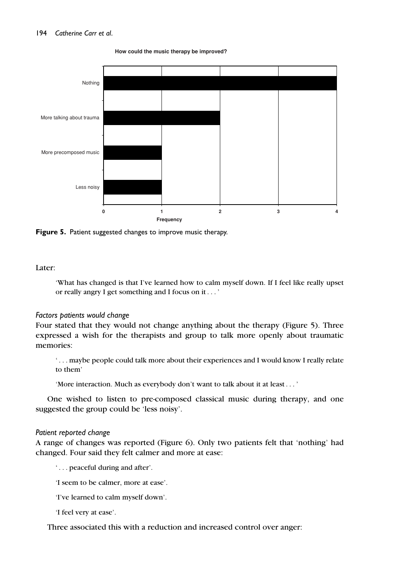

**How could the music therapy be improved?**

**Figure 5.** Patient suggested changes to improve music therapy.

Later:

'What has changed is that I've learned how to calm myself down. If I feel like really upset or really angry I get something and I focus on it . . . '

# *Factors patients would change*

Four stated that they would not change anything about the therapy (Figure 5). Three expressed a wish for the therapists and group to talk more openly about traumatic memories:

' . . . maybe people could talk more about their experiences and I would know I really relate to them'

'More interaction. Much as everybody don't want to talk about it at least ...'

One wished to listen to pre-composed classical music during therapy, and one suggested the group could be 'less noisy'.

# *Patient reported change*

A range of changes was reported (Figure 6). Only two patients felt that 'nothing' had changed. Four said they felt calmer and more at ease:

' . . . peaceful during and after'.

'I seem to be calmer, more at ease'.

'I've learned to calm myself down'.

'I feel very at ease'.

Three associated this with a reduction and increased control over anger: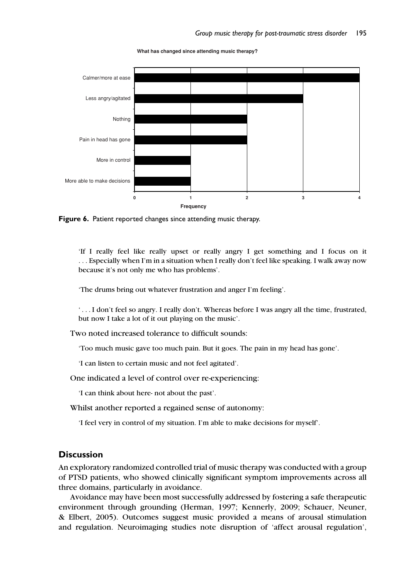

#### **What has changed since attending music therapy?**

**Figure 6.** Patient reported changes since attending music therapy.

'If I really feel like really upset or really angry I get something and I focus on it . . . Especially when I'm in a situation when I really don't feel like speaking. I walk away now because it's not only me who has problems'.

'The drums bring out whatever frustration and anger I'm feeling'.

' . . . I don't feel so angry. I really don't. Whereas before I was angry all the time, frustrated, but now I take a lot of it out playing on the music'.

Two noted increased tolerance to difficult sounds:

'Too much music gave too much pain. But it goes. The pain in my head has gone'.

'I can listen to certain music and not feel agitated'.

One indicated a level of control over re-experiencing:

'I can think about here- not about the past'.

Whilst another reported a regained sense of autonomy:

'I feel very in control of my situation. I'm able to make decisions for myself'.

# **Discussion**

An exploratory randomized controlled trial of music therapy was conducted with a group of PTSD patients, who showed clinically significant symptom improvements across all three domains, particularly in avoidance.

Avoidance may have been most successfully addressed by fostering a safe therapeutic environment through grounding (Herman, 1997; Kennerly, 2009; Schauer, Neuner, & Elbert, 2005). Outcomes suggest music provided a means of arousal stimulation and regulation. Neuroimaging studies note disruption of 'affect arousal regulation',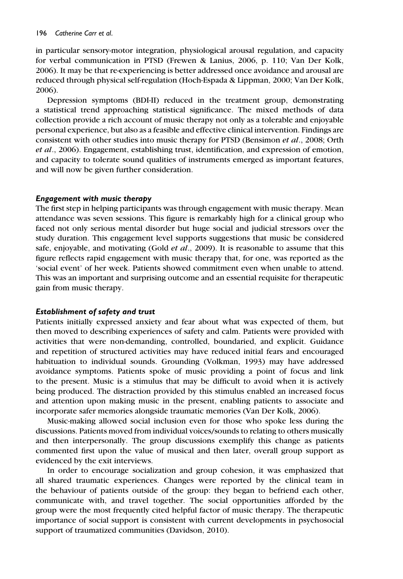in particular sensory-motor integration, physiological arousal regulation, and capacity for verbal communication in PTSD (Frewen & Lanius, 2006, p. 110; Van Der Kolk, 2006). It may be that re-experiencing is better addressed once avoidance and arousal are reduced through physical self-regulation (Hoch-Espada & Lippman, 2000; Van Der Kolk, 2006).

Depression symptoms (BDI-II) reduced in the treatment group, demonstrating a statistical trend approaching statistical significance. The mixed methods of data collection provide a rich account of music therapy not only as a tolerable and enjoyable personal experience, but also as a feasible and effective clinical intervention. Findings are consistent with other studies into music therapy for PTSD (Bensimon *et al*., 2008; Orth *et al*., 2006). Engagement, establishing trust, identification, and expression of emotion, and capacity to tolerate sound qualities of instruments emerged as important features, and will now be given further consideration.

## *Engagement with music therapy*

The first step in helping participants was through engagement with music therapy. Mean attendance was seven sessions. This figure is remarkably high for a clinical group who faced not only serious mental disorder but huge social and judicial stressors over the study duration. This engagement level supports suggestions that music be considered safe, enjoyable, and motivating (Gold *et al*., 2009). It is reasonable to assume that this figure reflects rapid engagement with music therapy that, for one, was reported as the 'social event' of her week. Patients showed commitment even when unable to attend. This was an important and surprising outcome and an essential requisite for therapeutic gain from music therapy.

## *Establishment of safety and trust*

Patients initially expressed anxiety and fear about what was expected of them, but then moved to describing experiences of safety and calm. Patients were provided with activities that were non-demanding, controlled, boundaried, and explicit. Guidance and repetition of structured activities may have reduced initial fears and encouraged habituation to individual sounds. Grounding (Volkman, 1993) may have addressed avoidance symptoms. Patients spoke of music providing a point of focus and link to the present. Music is a stimulus that may be difficult to avoid when it is actively being produced. The distraction provided by this stimulus enabled an increased focus and attention upon making music in the present, enabling patients to associate and incorporate safer memories alongside traumatic memories (Van Der Kolk, 2006).

Music-making allowed social inclusion even for those who spoke less during the discussions. Patients moved from individual voices/sounds to relating to others musically and then interpersonally. The group discussions exemplify this change as patients commented first upon the value of musical and then later, overall group support as evidenced by the exit interviews.

In order to encourage socialization and group cohesion, it was emphasized that all shared traumatic experiences. Changes were reported by the clinical team in the behaviour of patients outside of the group: they began to befriend each other, communicate with, and travel together. The social opportunities afforded by the group were the most frequently cited helpful factor of music therapy. The therapeutic importance of social support is consistent with current developments in psychosocial support of traumatized communities (Davidson, 2010).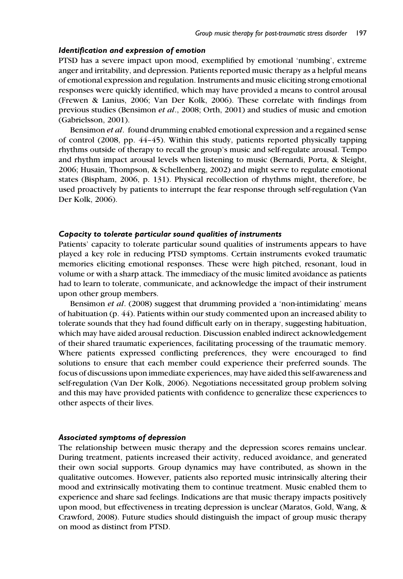## *Identification and expression of emotion*

PTSD has a severe impact upon mood, exemplified by emotional 'numbing', extreme anger and irritability, and depression. Patients reported music therapy as a helpful means of emotional expression and regulation. Instruments and music eliciting strong emotional responses were quickly identified, which may have provided a means to control arousal (Frewen & Lanius, 2006; Van Der Kolk, 2006). These correlate with findings from previous studies (Bensimon *et al*., 2008; Orth, 2001) and studies of music and emotion (Gabrielsson, 2001).

Bensimon *et al*. found drumming enabled emotional expression and a regained sense of control (2008, pp. 44–45). Within this study, patients reported physically tapping rhythms outside of therapy to recall the group's music and self-regulate arousal. Tempo and rhythm impact arousal levels when listening to music (Bernardi, Porta, & Sleight, 2006; Husain, Thompson, & Schellenberg, 2002) and might serve to regulate emotional states (Bispham, 2006, p. 131). Physical recollection of rhythms might, therefore, be used proactively by patients to interrupt the fear response through self-regulation (Van Der Kolk, 2006).

#### *Capacity to tolerate particular sound qualities of instruments*

Patients' capacity to tolerate particular sound qualities of instruments appears to have played a key role in reducing PTSD symptoms. Certain instruments evoked traumatic memories eliciting emotional responses. These were high pitched, resonant, loud in volume or with a sharp attack. The immediacy of the music limited avoidance as patients had to learn to tolerate, communicate, and acknowledge the impact of their instrument upon other group members.

Bensimon *et al*. (2008) suggest that drumming provided a 'non-intimidating' means of habituation (p. 44). Patients within our study commented upon an increased ability to tolerate sounds that they had found difficult early on in therapy, suggesting habituation, which may have aided arousal reduction. Discussion enabled indirect acknowledgement of their shared traumatic experiences, facilitating processing of the traumatic memory. Where patients expressed conflicting preferences, they were encouraged to find solutions to ensure that each member could experience their preferred sounds. The focus of discussions upon immediate experiences, may have aided this self-awareness and self-regulation (Van Der Kolk, 2006). Negotiations necessitated group problem solving and this may have provided patients with confidence to generalize these experiences to other aspects of their lives.

#### *Associated symptoms of depression*

The relationship between music therapy and the depression scores remains unclear. During treatment, patients increased their activity, reduced avoidance, and generated their own social supports. Group dynamics may have contributed, as shown in the qualitative outcomes. However, patients also reported music intrinsically altering their mood and extrinsically motivating them to continue treatment. Music enabled them to experience and share sad feelings. Indications are that music therapy impacts positively upon mood, but effectiveness in treating depression is unclear (Maratos, Gold, Wang, & Crawford, 2008). Future studies should distinguish the impact of group music therapy on mood as distinct from PTSD.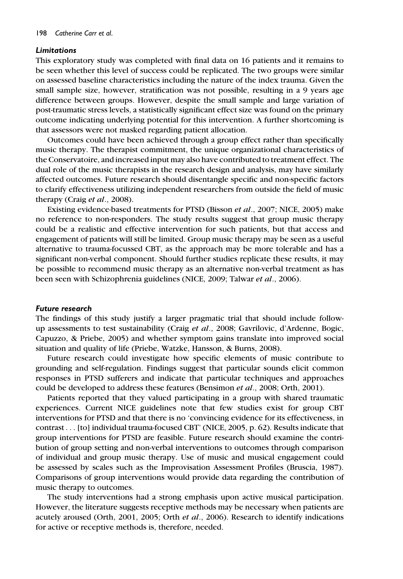# *Limitations*

This exploratory study was completed with final data on 16 patients and it remains to be seen whether this level of success could be replicated. The two groups were similar on assessed baseline characteristics including the nature of the index trauma. Given the small sample size, however, stratification was not possible, resulting in a 9 years age difference between groups. However, despite the small sample and large variation of post-traumatic stress levels, a statistically significant effect size was found on the primary outcome indicating underlying potential for this intervention. A further shortcoming is that assessors were not masked regarding patient allocation.

Outcomes could have been achieved through a group effect rather than specifically music therapy. The therapist commitment, the unique organizational characteristics of the Conservatoire, and increased input may also have contributed to treatment effect. The dual role of the music therapists in the research design and analysis, may have similarly affected outcomes. Future research should disentangle specific and non-specific factors to clarify effectiveness utilizing independent researchers from outside the field of music therapy (Craig *et al*., 2008).

Existing evidence-based treatments for PTSD (Bisson *et al*., 2007; NICE, 2005) make no reference to non-responders. The study results suggest that group music therapy could be a realistic and effective intervention for such patients, but that access and engagement of patients will still be limited. Group music therapy may be seen as a useful alternative to trauma-focussed CBT, as the approach may be more tolerable and has a significant non-verbal component. Should further studies replicate these results, it may be possible to recommend music therapy as an alternative non-verbal treatment as has been seen with Schizophrenia guidelines (NICE, 2009; Talwar *et al*., 2006).

#### *Future research*

The findings of this study justify a larger pragmatic trial that should include followup assessments to test sustainability (Craig *et al*., 2008; Gavrilovic, d'Ardenne, Bogic, Capuzzo, & Priebe, 2005) and whether symptom gains translate into improved social situation and quality of life (Priebe, Watzke, Hansson, & Burns, 2008).

Future research could investigate how specific elements of music contribute to grounding and self-regulation. Findings suggest that particular sounds elicit common responses in PTSD sufferers and indicate that particular techniques and approaches could be developed to address these features (Bensimon *et al*., 2008; Orth, 2001).

Patients reported that they valued participating in a group with shared traumatic experiences. Current NICE guidelines note that few studies exist for group CBT interventions for PTSD and that there is no 'convincing evidence for its effectiveness, in contrast . . . [to] individual trauma-focused CBT' (NICE, 2005, p. 62). Results indicate that group interventions for PTSD are feasible. Future research should examine the contribution of group setting and non-verbal interventions to outcomes through comparison of individual and group music therapy. Use of music and musical engagement could be assessed by scales such as the Improvisation Assessment Profiles (Bruscia, 1987). Comparisons of group interventions would provide data regarding the contribution of music therapy to outcomes.

The study interventions had a strong emphasis upon active musical participation. However, the literature suggests receptive methods may be necessary when patients are acutely aroused (Orth, 2001, 2005; Orth *et al*., 2006). Research to identify indications for active or receptive methods is, therefore, needed.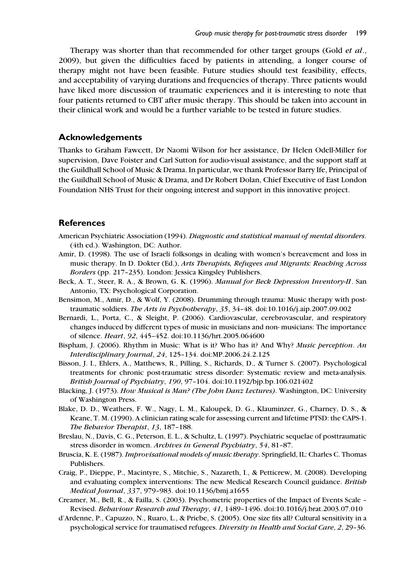Therapy was shorter than that recommended for other target groups (Gold *et al*., 2009), but given the difficulties faced by patients in attending, a longer course of therapy might not have been feasible. Future studies should test feasibility, effects, and acceptability of varying durations and frequencies of therapy. Three patients would have liked more discussion of traumatic experiences and it is interesting to note that four patients returned to CBT after music therapy. This should be taken into account in their clinical work and would be a further variable to be tested in future studies.

# **Acknowledgements**

Thanks to Graham Fawcett, Dr Naomi Wilson for her assistance, Dr Helen Odell-Miller for supervision, Dave Foister and Carl Sutton for audio-visual assistance, and the support staff at the Guildhall School of Music & Drama. In particular, we thank Professor Barry Ife, Principal of the Guildhall School of Music & Drama, and Dr Robert Dolan, Chief Executive of East London Foundation NHS Trust for their ongoing interest and support in this innovative project.

# **References**

- American Psychiatric Association (1994). *Diagnostic and statistical manual of mental disorders*. (4th ed.). Washington, DC: Author.
- Amir, D. (1998). The use of Israeli folksongs in dealing with women's bereavement and loss in music therapy. In D. Dokter (Ed.), *Arts Therapists, Refugees and Migrants: Reaching Across Borders* (pp. 217–235). London: Jessica Kingsley Publishers.
- Beck, A. T., Steer, R. A., & Brown, G. K. (1996). *Manual for Beck Depression Inventory-II*. San Antonio, TX: Psychological Corporation.
- Bensimon, M., Amir, D., & Wolf, Y. (2008). Drumming through trauma: Music therapy with posttraumatic soldiers. *The Arts in Psychotherapy*, *35*, 34–48. doi:10.1016/j.aip.2007.09.002
- Bernardi, L., Porta, C., & Sleight, P. (2006). Cardiovascular, cerebrovascular, and respiratory changes induced by different types of music in musicians and non- musicians: The importance of silence. *Heart*, *92*, 445–452. doi:10.1136/hrt.2005.064600
- Bispham, J. (2006). Rhythm in Music: What is it? Who has it? And Why? *Music perception*. *An Interdisciplinary Journal*, *24*, 125–134. doi:MP.2006.24.2.125
- Bisson, J. I., Ehlers, A., Matthews, R., Pilling, S., Richards, D., & Turner S. (2007). Psychological treatments for chronic post-traumatic stress disorder: Systematic review and meta-analysis. *British Journal of Psychiatry*, *190*, 97–104. doi:10.1192/bjp.bp.106.021402
- Blacking, J. (1973). *How Musical is Man? (The John Danz Lectures)*. Washington, DC: University of Washington Press.
- Blake, D. D., Weathers, F. W., Nagy, L. M., Kaloupek, D. G., Klauminzer, G., Charney, D. S., & Keane, T. M. (1990). A clinician rating scale for assessing current and lifetime PTSD: the CAPS-1. *The Behavior Therapist*, *13*, 187–188.
- Breslau, N., Davis, C. G., Peterson, E. L., & Schultz, L. (1997). Psychiatric sequelae of posttraumatic stress disorder in women. *Archives in General Psychiatry*, *54*, 81–87.
- Bruscia, K. E. (1987). *Improvisational models of music therapy*. Springfield, IL: Charles C. Thomas Publishers.
- Craig, P., Dieppe, P., Macintyre, S., Mitchie, S., Nazareth, I., & Petticrew, M. (2008). Developing and evaluating complex interventions: The new Medical Research Council guidance. *British Medical Journal*, *337*, 979–983. doi:10.1136/bmj.a1655
- Creamer, M., Bell, R., & Failla, S. (2003). Psychometric properties of the Impact of Events Scale Revised. *Behaviour Research and Therapy*, *41*, 1489–1496. doi:10.1016/j.brat.2003.07.010
- d'Ardenne, P., Capuzzo, N., Ruaro, L., & Priebe, S. (2005). One size fits all? Cultural sensitivity in a psychological service for traumatised refugees. *Diversity in Health and Social Care*, *2*, 29–36.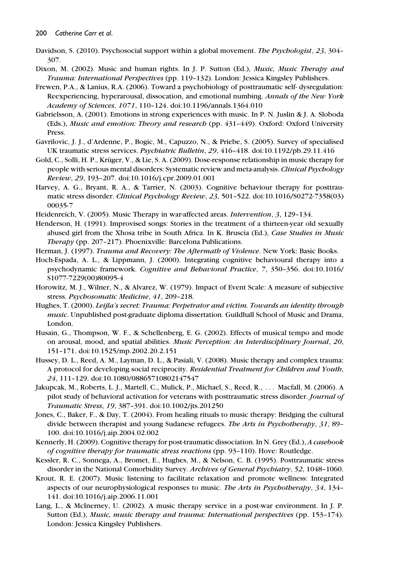- Davidson, S. (2010). Psychosocial support within a global movement. *The Psychologist*, *23*, 304– 307.
- Dixon, M. (2002). Music and human rights. In J. P. Sutton (Ed.), *Music, Music Therapy and Trauma: International Perspectives* (pp. 119–132). London: Jessica Kingsley Publishers.
- Frewen, P.A., & Lanius, R.A. (2006). Toward a psychobiology of posttraumatic self- dysregulation: Reexperiencing, hyperarousal, dissocation, and emotional numbing. *Annals of the New York Academy of Sciences*, *1071*, 110–124. doi:10.1196/annals.1364.010
- Gabrielsson, A. (2001). Emotions in strong experiences with music. In P. N. Juslin & J. A. Sloboda (Eds.), *Music and emotion: Theory and research* (pp. 431–449). Oxford: Oxford University Press.
- Gavrilovic, J. J., d'Ardenne, P., Bogic, M., Capuzzo, N., & Priebe, S. (2005). Survey of specialised UK traumatic stress services. *Psychiatric Bulletin*, *29*, 416–418. doi:10.1192/pb.29.11.416
- Gold, C., Solli, H. P., Krüger, V., & Lie, S. A. (2009). Dose-response relationship in music therapy for people with serious mental disorders: Systematic review and meta-analysis. *Clinical Psychology Review*, *29*, 193–207. doi:10.1016/j.cpr.2009.01.001
- Harvey, A. G., Bryant, R. A., & Tarrier, N. (2003). Cognitive behaviour therapy for posttraumatic stress disorder. *Clinical Psychology Review*, *23*, 501–522. doi:10.1016/S0272-7358(03) 00035-7
- Heidenreich, V. (2005). Music Therapy in war-affected areas. *Intervention*, *3*, 129–134.
- Henderson, H. (1991). Improvised songs: Stories in the treatment of a thirteen-year old sexually abused girl from the Xhosa tribe in South Africa. In K. Bruscia (Ed.), *Case Studies in Music Therapy* (pp. 207–217). Phoenixville: Barcelona Publications.
- Herman, J. (1997). *Trauma and Recovery: The Aftermath of Violence*. New York: Basic Books.
- Hoch-Espada, A. L., & Lippmann, J. (2000). Integrating cognitive behavioural therapy into a psychodynamic framework. *Cognitive and Behavioral Practice*, *7*, 350–356. doi:10.1016/ S1077-7229(00)80095-4
- Horowitz, M. J., Wilner, N., & Alvarez, W. (1979). Impact of Event Scale: A measure of subjective stress. *Psychosomatic Medicine*, *41*, 209–218.
- Hughes, T. (2000). *Leijla's secret: Trauma: Perpetrator and victim. Towards an identity through music*. Unpublished post-graduate diploma dissertation. Guildhall School of Music and Drama, London.
- Husain, G., Thompson, W. F., & Schellenberg, E. G. (2002). Effects of musical tempo and mode on arousal, mood, and spatial abilities. *Music Perception: An Interdisciplinary Journal*, *20*, 151–171. doi:10.1525/mp.2002.20.2.151
- Hussey, D. L., Reed, A. M., Layman, D. L., & Pasiali, V. (2008). Music therapy and complex trauma: A protocol for developing social reciprocity. *Residential Treatment for Children and Youth*, *24*, 111–129. doi:10.1080/08865710802147547
- Jakupcak, M., Roberts, L. J., Martell, C., Mulick, P., Michael, S., Reed, R., . . . Macfall, M. (2006). A pilot study of behavioral activation for veterans with posttraumatic stress disorder. *Journal of Traumatic Stress*, *19*, 387–391. doi:10.1002/jts.201250
- Jones, C., Baker, F., & Day, T. (2004). From healing rituals to music therapy: Bridging the cultural divide between therapist and young Sudanese refugees. *The Arts in Psychotherapy*, *31*, 89– 100. doi:10.1016/j.aip.2004.02.002
- Kennerly, H. (2009). Cognitive therapy for post-traumatic dissociation. In N. Grey (Ed.), *A casebook of cognitive therapy for traumatic stress reactions* (pp. 93–110). Hove: Routledge.
- Kessler, R. C., Sonnega, A., Bromet, E., Hughes, M., & Nelson, C. B. (1995). Posttraumatic stress disorder in the National Comorbidity Survey. *Archives of General Psychiatry*, *52*, 1048–1060.
- Krout, R. E. (2007). Music listening to facilitate relaxation and promote wellness: Integrated aspects of our neurophysiological responses to music. *The Arts in Psychotherapy*, *34*, 134– 141. doi:10.1016/j.aip.2006.11.001
- Lang, L., & McInerney, U. (2002). A music therapy service in a post-war environment. In J. P. Sutton (Ed.), *Music, music therapy and trauma: International perspectives* (pp. 153–174). London: Jessica Kingsley Publishers.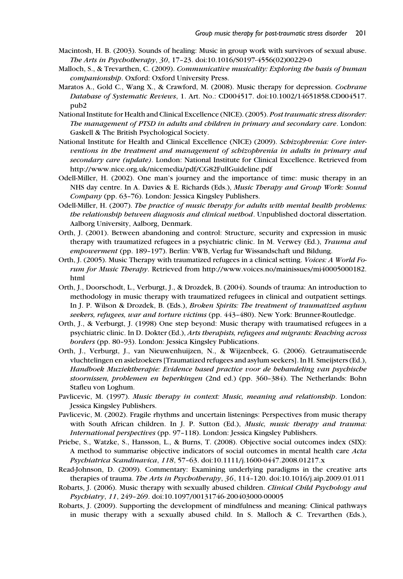- Macintosh, H. B. (2003). Sounds of healing: Music in group work with survivors of sexual abuse. *The Arts in Psychotherapy*, *30*, 17–23. doi:10.1016/S0197-4556(02)00229-0
- Malloch, S., & Trevarthen, C. (2009). *Communicative musicality: Exploring the basis of human companionship*. Oxford: Oxford University Press.
- Maratos A., Gold C., Wang X., & Crawford, M. (2008). Music therapy for depression. *Cochrane Database of Systematic Reviews*, 1. Art. No.: CD004517. doi:10.1002/14651858.CD004517. pub2
- National Institute for Health and Clinical Excellence (NICE). (2005). *Post traumatic stress disorder: The management of PTSD in adults and children in primary and secondary care*. London: Gaskell & The British Psychological Society.
- National Institute for Health and Clinical Excellence (NICE) (2009). *Schizophrenia: Core interventions in the treatment and management of schizophrenia in adults in primary and secondary care (update)*. London: National Institute for Clinical Excellence. Retrieved from http://www.nice.org.uk/nicemedia/pdf/CG82FullGuideline.pdf
- Odell-Miller, H. (2002). One man's journey and the importance of time: music therapy in an NHS day centre. In A. Davies & E. Richards (Eds.), *Music Therapy and Group Work: Sound Company* (pp. 63–76). London: Jessica Kingsley Publishers.
- Odell-Miller, H. (2007). *The practice of music therapy for adults with mental health problems: the relationship between diagnosis and clinical method*. Unpublished doctoral dissertation. Aalborg University, Aalborg, Denmark.
- Orth, J. (2001). Between abandoning and control: Structure, security and expression in music therapy with traumatized refugees in a psychiatric clinic. In M. Verwey (Ed.), *Trauma and empowerment* (pp. 189–197). Berlin: VWB, Verlag fur Wissandschaft und Bildung.
- Orth, J. (2005). Music Therapy with traumatized refugees in a clinical setting. *Voices: A World Forum for Music Therapy*. Retrieved from http://www.voices.no/mainissues/mi40005000182. html
- Orth, J., Doorschodt, L., Verburgt, J., & Drozdek, B. (2004). Sounds of trauma: An introduction to methodology in music therapy with traumatized refugees in clinical and outpatient settings. In J. P. Wilson & Drozdek, B. (Eds.), *Broken Spirits: The treatment of traumatized asylum seekers, refugees, war and torture victims* (pp. 443–480). New York: Brunner-Routledge.
- Orth, J., & Verburgt, J. (1998) One step beyond: Music therapy with traumatised refugees in a psychiatric clinic. In D. Dokter (Ed.), *Arts therapists, refugees and migrants: Reaching across borders* (pp. 80–93). London: Jessica Kingsley Publications.
- Orth, J., Verburgt, J., van Nieuwenhuijzen, N., & Wijzenbeek, G. (2006). Getraumatiseerde vluchtelingen en asielzoekers [Traumatized refugees and asylum seekers]. In H. Smeijsters (Ed.), *Handboek Muziektherapie: Evidence based practice voor de behandeling van psychische stoornissen, problemen en beperkingen* (2nd ed.) (pp. 360–384). The Netherlands: Bohn Stafleu von Loghum.
- Pavlicevic, M. (1997). *Music therapy in context: Music, meaning and relationship*. London: Jessica Kingsley Publishers.
- Pavlicevic, M. (2002). Fragile rhythms and uncertain listenings: Perspectives from music therapy with South African children. In J. P. Sutton (Ed.), *Music, music therapy and trauma: International perspectives* (pp. 97–118). London: Jessica Kingsley Publishers.
- Priebe, S., Watzke, S., Hansson, L., & Burns, T. (2008). Objective social outcomes index (SIX): A method to summarise objective indicators of social outcomes in mental health care *Acta Psychiatrica Scandinavica*, *118*, 57–63. doi:10.1111/j.1600-0447.2008.01217.x
- Read-Johnson, D. (2009). Commentary: Examining underlying paradigms in the creative arts therapies of trauma. *The Arts in Psychotherapy*, *36*, 114–120. doi:10.1016/j.aip.2009.01.011
- Robarts, J. (2006). Music therapy with sexually abused children. *Clinical Child Psychology and Psychiatry*, *11*, 249–269. doi:10.1097/00131746-200403000-00005
- Robarts, J. (2009). Supporting the development of mindfulness and meaning: Clinical pathways in music therapy with a sexually abused child. In S. Malloch & C. Trevarthen (Eds.),